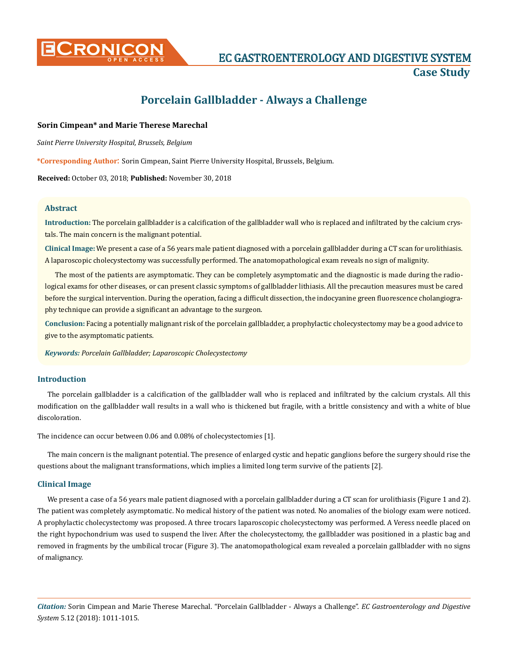

# **Porcelain Gallbladder - Always a Challenge**

## **Sorin Cimpean\* and Marie Therese Marechal**

*Saint Pierre University Hospital, Brussels, Belgium*

**\*Corresponding Author**: Sorin Cimpean, Saint Pierre University Hospital, Brussels, Belgium.

**Received:** October 03, 2018; **Published:** November 30, 2018

#### **Abstract**

**Introduction:** The porcelain gallbladder is a calcification of the gallbladder wall who is replaced and infiltrated by the calcium crystals. The main concern is the malignant potential.

**Clinical Image:** We present a case of a 56 years male patient diagnosed with a porcelain gallbladder during a CT scan for urolithiasis. A laparoscopic cholecystectomy was successfully performed. The anatomopathological exam reveals no sign of malignity.

The most of the patients are asymptomatic. They can be completely asymptomatic and the diagnostic is made during the radiological exams for other diseases, or can present classic symptoms of gallbladder lithiasis. All the precaution measures must be cared before the surgical intervention. During the operation, facing a difficult dissection, the indocyanine green fluorescence cholangiography technique can provide a significant an advantage to the surgeon.

**Conclusion:** Facing a potentially malignant risk of the porcelain gallbladder, a prophylactic cholecystectomy may be a good advice to give to the asymptomatic patients.

*Keywords: Porcelain Gallbladder; Laparoscopic Cholecystectomy*

### **Introduction**

The porcelain gallbladder is a calcification of the gallbladder wall who is replaced and infiltrated by the calcium crystals. All this modification on the gallbladder wall results in a wall who is thickened but fragile, with a brittle consistency and with a white of blue discoloration.

The incidence can occur between 0.06 and 0.08% of cholecystectomies [1].

The main concern is the malignant potential. The presence of enlarged cystic and hepatic ganglions before the surgery should rise the questions about the malignant transformations, which implies a limited long term survive of the patients [2].

### **Clinical Image**

We present a case of a 56 years male patient diagnosed with a porcelain gallbladder during a CT scan for urolithiasis (Figure 1 and 2). The patient was completely asymptomatic. No medical history of the patient was noted. No anomalies of the biology exam were noticed. A prophylactic cholecystectomy was proposed. A three trocars laparoscopic cholecystectomy was performed. A Veress needle placed on the right hypochondrium was used to suspend the liver. After the cholecystectomy, the gallbladder was positioned in a plastic bag and removed in fragments by the umbilical trocar (Figure 3). The anatomopathological exam revealed a porcelain gallbladder with no signs of malignancy.

*Citation:* Sorin Cimpean and Marie Therese Marechal. "Porcelain Gallbladder - Always a Challenge". *EC Gastroenterology and Digestive System* 5.12 (2018): 1011-1015.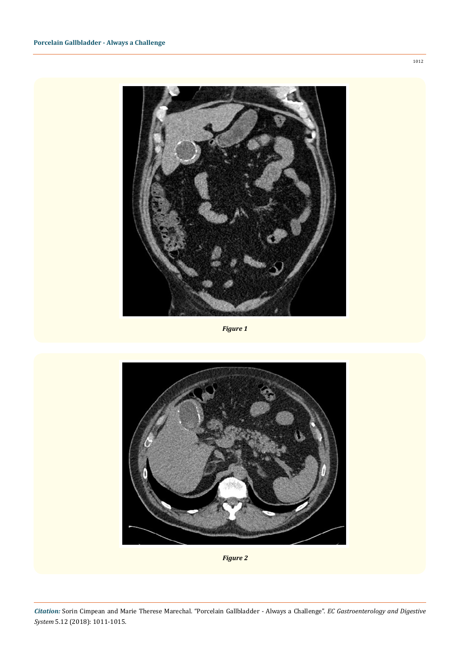

*Figure 1*



*Figure 2*

*Citation:* Sorin Cimpean and Marie Therese Marechal. "Porcelain Gallbladder - Always a Challenge". *EC Gastroenterology and Digestive System* 5.12 (2018): 1011-1015.

1012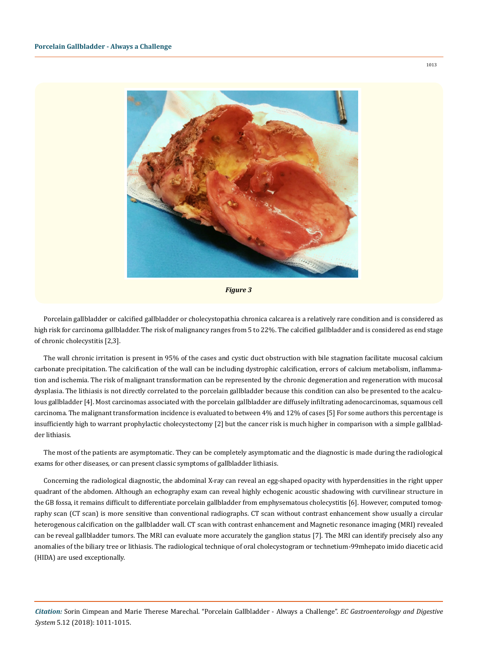

*Figure 3*

Porcelain gallbladder or calcified gallbladder or cholecystopathia chronica calcarea is a relatively rare condition and is considered as high risk for carcinoma gallbladder. The risk of malignancy ranges from 5 to 22%. The calcified gallbladder and is considered as end stage of chronic cholecystitis [2,3].

The wall chronic irritation is present in 95% of the cases and cystic duct obstruction with bile stagnation facilitate mucosal calcium carbonate precipitation. The calcification of the wall can be including dystrophic calcification, errors of calcium metabolism, inflammation and ischemia. The risk of malignant transformation can be represented by the chronic degeneration and regeneration with mucosal dysplasia. The lithiasis is not directly correlated to the porcelain gallbladder because this condition can also be presented to the acalculous gallbladder [4]. Most carcinomas associated with the porcelain gallbladder are diffusely infiltrating adenocarcinomas, squamous cell carcinoma. The malignant transformation incidence is evaluated to between 4% and 12% of cases [5] For some authors this percentage is insufficiently high to warrant prophylactic cholecystectomy [2] but the cancer risk is much higher in comparison with a simple gallbladder lithiasis.

The most of the patients are asymptomatic. They can be completely asymptomatic and the diagnostic is made during the radiological exams for other diseases, or can present classic symptoms of gallbladder lithiasis.

Concerning the radiological diagnostic, the abdominal X-ray can reveal an egg-shaped opacity with hyperdensities in the right upper quadrant of the abdomen. Although an echography exam can reveal highly echogenic acoustic shadowing with curvilinear structure in the GB fossa, it remains difficult to differentiate porcelain gallbladder from emphysematous cholecystitis [6]. However, computed tomography scan (CT scan) is more sensitive than conventional radiographs. CT scan without contrast enhancement show usually a circular heterogenous calcification on the gallbladder wall. CT scan with contrast enhancement and Magnetic resonance imaging (MRI) revealed can be reveal gallbladder tumors. The MRI can evaluate more accurately the ganglion status [7]. The MRI can identify precisely also any anomalies of the biliary tree or lithiasis. The radiological technique of oral cholecystogram or technetium-99mhepato imido diacetic acid (HIDA) are used exceptionally.

*Citation:* Sorin Cimpean and Marie Therese Marechal. "Porcelain Gallbladder - Always a Challenge". *EC Gastroenterology and Digestive System* 5.12 (2018): 1011-1015.

1013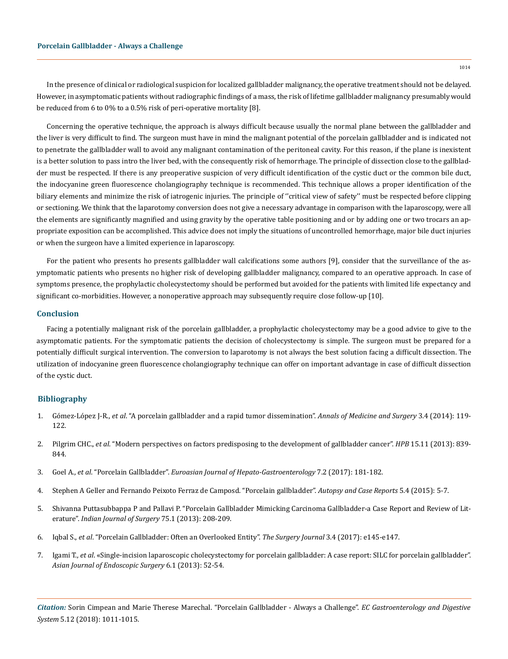In the presence of clinical or radiological suspicion for localized gallbladder malignancy, the operative treatment should not be delayed. However, in asymptomatic patients without radiographic findings of a mass, the risk of lifetime gallbladder malignancy presumably would be reduced from 6 to 0% to a 0.5% risk of peri-operative mortality [8].

Concerning the operative technique, the approach is always difficult because usually the normal plane between the gallbladder and the liver is very difficult to find. The surgeon must have in mind the malignant potential of the porcelain gallbladder and is indicated not to penetrate the gallbladder wall to avoid any malignant contamination of the peritoneal cavity. For this reason, if the plane is inexistent is a better solution to pass intro the liver bed, with the consequently risk of hemorrhage. The principle of dissection close to the gallbladder must be respected. If there is any preoperative suspicion of very difficult identification of the cystic duct or the common bile duct, the indocyanine green fluorescence cholangiography technique is recommended. This technique allows a proper identification of the biliary elements and minimize the risk of iatrogenic injuries. The principle of "critical view of safety" must be respected before clipping or sectioning. We think that the laparotomy conversion does not give a necessary advantage in comparison with the laparoscopy, were all the elements are significantly magnified and using gravity by the operative table positioning and or by adding one or two trocars an appropriate exposition can be accomplished. This advice does not imply the situations of uncontrolled hemorrhage, major bile duct injuries or when the surgeon have a limited experience in laparoscopy.

For the patient who presents ho presents gallbladder wall calcifications some authors [9], consider that the surveillance of the asymptomatic patients who presents no higher risk of developing gallbladder malignancy, compared to an operative approach. In case of symptoms presence, the prophylactic cholecystectomy should be performed but avoided for the patients with limited life expectancy and significant co-morbidities. However, a nonoperative approach may subsequently require close follow-up [10].

#### **Conclusion**

Facing a potentially malignant risk of the porcelain gallbladder, a prophylactic cholecystectomy may be a good advice to give to the asymptomatic patients. For the symptomatic patients the decision of cholecystectomy is simple. The surgeon must be prepared for a potentially difficult surgical intervention. The conversion to laparotomy is not always the best solution facing a difficult dissection. The utilization of indocyanine green fluorescence cholangiography technique can offer on important advantage in case of difficult dissection of the cystic duct.

#### **Bibliography**

- 1. Gómez-López J-R., *et al*[. "A porcelain gallbladder and a rapid tumor dissemination".](https://www.ncbi.nlm.nih.gov/pubmed/25568797) *Annals of Medicine and Surgery* 3.4 (2014): 119- [122.](https://www.ncbi.nlm.nih.gov/pubmed/25568797)
- 2. Pilgrim CHC., *et al*[. "Modern perspectives on factors predisposing to the development of gallbladder cancer".](https://www.ncbi.nlm.nih.gov/pubmed/23458506) *HPB* 15.11 (2013): 839- [844.](https://www.ncbi.nlm.nih.gov/pubmed/23458506)
- 3. Goel A., *et al*. "Porcelain Gallbladder". *[Euroasian Journal of Hepato-Gastroenterology](https://www.ncbi.nlm.nih.gov/pmc/articles/PMC5670266/)* 7.2 (2017): 181-182.
- 4. [Stephen A Geller and Fernando Peixoto Ferraz de Camposd. "Porcelain gallbladder".](https://www.researchgate.net/publication/287405401_Porcelain_gallbladder) *Autopsy and Case Reports* 5.4 (2015): 5-7.
- 5. [Shivanna Puttasubbappa P and Pallavi P. "Porcelain Gallbladder Mimicking Carcinoma Gallbladder-a Case Report and Review of Lit](https://www.ncbi.nlm.nih.gov/pubmed/24426566)erature". *[Indian Journal of Surgery](https://www.ncbi.nlm.nih.gov/pubmed/24426566)* 75.1 (2013): 208-209.
- 6. Iqbal S., *et al*[. "Porcelain Gallbladder: Often an Overlooked Entity".](https://www.ncbi.nlm.nih.gov/pubmed/28924614) *The Surgery Journal* 3.4 (2017): e145-e147.
- 7. Igami T., *et al*[. «Single-incision laparoscopic cholecystectomy for porcelain gallbladder: A case report: SILC for porcelain gallbladder".](https://www.ncbi.nlm.nih.gov/pubmed/23347708)  *[Asian Journal of Endoscopic Surgery](https://www.ncbi.nlm.nih.gov/pubmed/23347708)* 6.1 (2013): 52-54.

*Citation:* Sorin Cimpean and Marie Therese Marechal. "Porcelain Gallbladder - Always a Challenge". *EC Gastroenterology and Digestive System* 5.12 (2018): 1011-1015.

1014